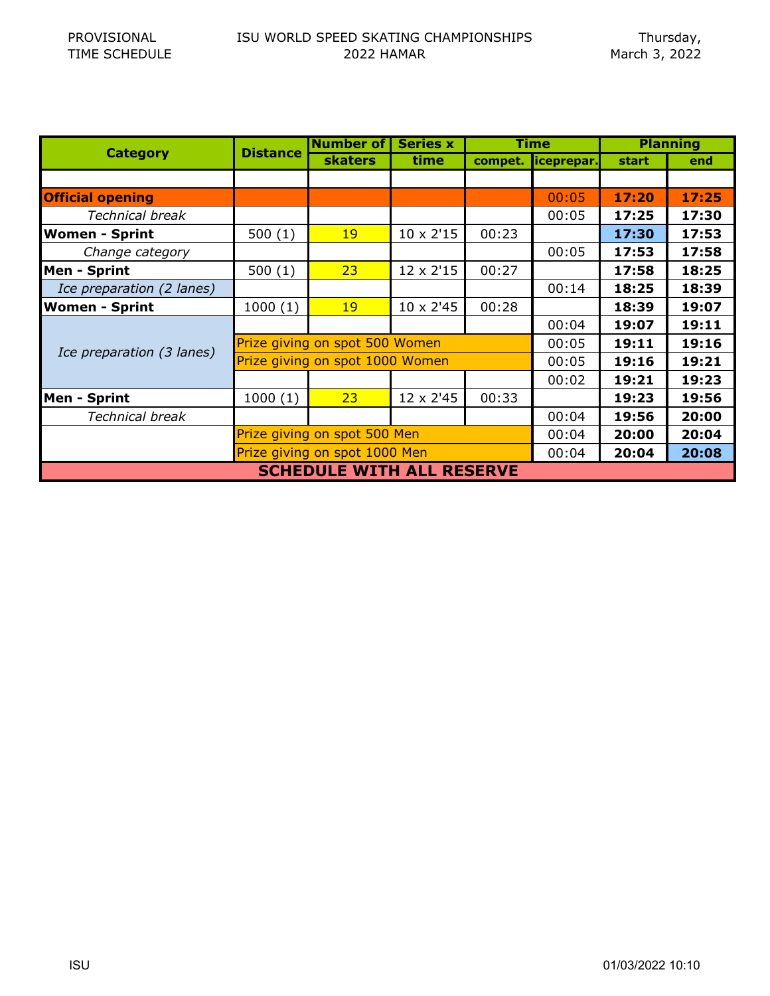| <b>Category</b>               | <b>Distance</b>                  | Number of      | <b>Series x</b> |         | <b>Time</b> | <b>Planning</b> |       |  |
|-------------------------------|----------------------------------|----------------|-----------------|---------|-------------|-----------------|-------|--|
|                               |                                  | <b>skaters</b> | time            | compet. | liceprepar. | start           | end   |  |
|                               |                                  |                |                 |         |             |                 |       |  |
| <b>Official opening</b>       |                                  |                |                 |         | 00:05       | 17:20           | 17:25 |  |
| <b>Technical break</b>        |                                  |                |                 |         | 00:05       | 17:25           | 17:30 |  |
| <b>Women - Sprint</b>         | 500 $(1)$                        | 19             | 10 x 2'15       | 00:23   |             | 17:30           | 17:53 |  |
| Change category               |                                  |                |                 |         | 00:05       | 17:53           | 17:58 |  |
| Men - Sprint                  | 500 $(1)$                        | 23             | 12 x 2'15       | 00:27   |             | 17:58           | 18:25 |  |
| Ice preparation (2 lanes)     |                                  |                |                 |         | 00:14       | 18:25           | 18:39 |  |
| <b>Women - Sprint</b>         | 1000(1)                          | 19             | 10 x 2'45       | 00:28   |             | 18:39           | 19:07 |  |
| Ice preparation (3 lanes)     |                                  |                |                 |         | 00:04       | 19:07           | 19:11 |  |
|                               | Prize giving on spot 500 Women   |                |                 |         | 00:05       | 19:11           | 19:16 |  |
|                               | Prize giving on spot 1000 Women  |                |                 |         | 00:05       | 19:16           | 19:21 |  |
|                               |                                  |                |                 |         | 00:02       | 19:21           | 19:23 |  |
| Men - Sprint                  | 1000(1)                          | 23             | 12 x 2'45       | 00:33   |             | 19:23           | 19:56 |  |
| Technical break               |                                  |                |                 |         | 00:04       | 19:56           | 20:00 |  |
|                               | Prize giving on spot 500 Men     |                |                 |         | 00:04       | 20:00           | 20:04 |  |
| Prize giving on spot 1000 Men |                                  |                |                 |         | 00:04       | 20:04           | 20:08 |  |
|                               | <b>SCHEDULE WITH ALL RESERVE</b> |                |                 |         |             |                 |       |  |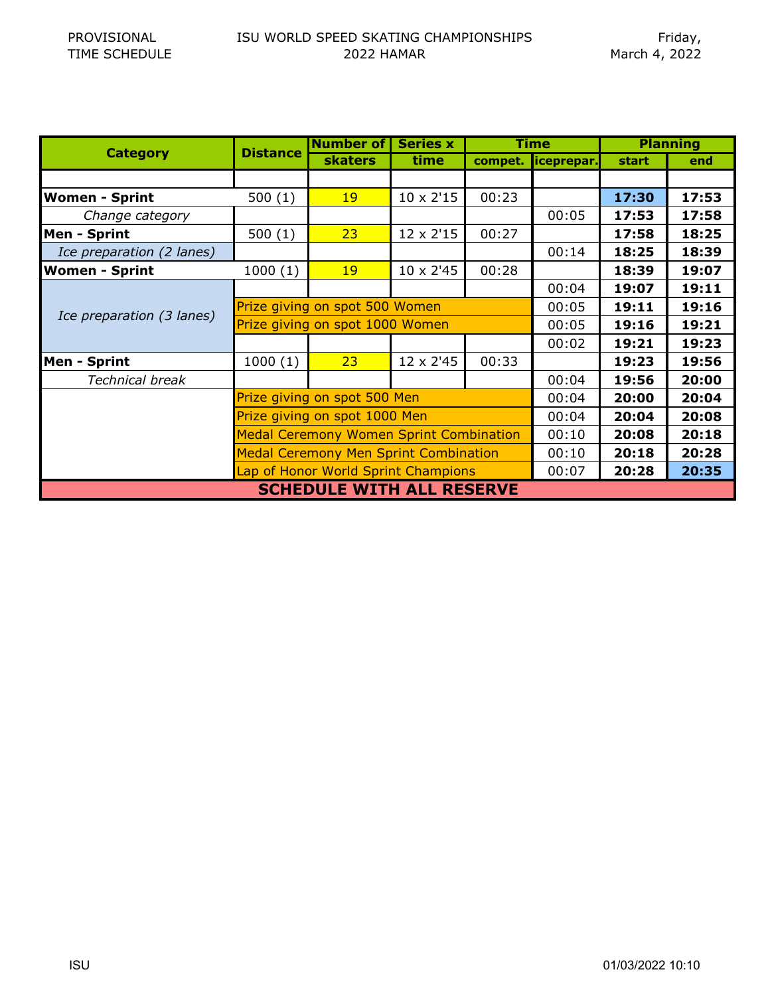| <b>Category</b>                                                                                                                                                        | <b>Distance</b>                 | <b>Number of</b><br><b>Series x</b> |                  | <b>Time</b> | <b>Planning</b> |       |       |
|------------------------------------------------------------------------------------------------------------------------------------------------------------------------|---------------------------------|-------------------------------------|------------------|-------------|-----------------|-------|-------|
|                                                                                                                                                                        |                                 | <b>skaters</b>                      | time             | compet.     | liceprepar.     | start | end   |
|                                                                                                                                                                        |                                 |                                     |                  |             |                 |       |       |
| <b>Women - Sprint</b>                                                                                                                                                  | 500(1)                          | 19                                  | 10 x 2'15        | 00:23       |                 | 17:30 | 17:53 |
| Change category                                                                                                                                                        |                                 |                                     |                  |             | 00:05           | 17:53 | 17:58 |
| Men - Sprint                                                                                                                                                           | 500 $(1)$                       | 23                                  | 12 x 2'15        | 00:27       |                 | 17:58 | 18:25 |
| Ice preparation (2 lanes)                                                                                                                                              |                                 |                                     |                  |             | 00:14           | 18:25 | 18:39 |
| <b>Women - Sprint</b>                                                                                                                                                  | 1000(1)                         | 19                                  | 10 x 2'45        | 00:28       |                 | 18:39 | 19:07 |
|                                                                                                                                                                        |                                 |                                     |                  |             | 00:04           | 19:07 | 19:11 |
|                                                                                                                                                                        | Prize giving on spot 500 Women  |                                     |                  |             | 00:05           | 19:11 | 19:16 |
| Ice preparation (3 lanes)                                                                                                                                              | Prize giving on spot 1000 Women |                                     |                  |             | 00:05           | 19:16 | 19:21 |
|                                                                                                                                                                        |                                 |                                     |                  |             | 00:02           | 19:21 | 19:23 |
| Men - Sprint                                                                                                                                                           | 1000(1)                         | 23                                  | $12 \times 2'45$ | 00:33       |                 | 19:23 | 19:56 |
| Technical break                                                                                                                                                        |                                 |                                     |                  |             | 00:04           | 19:56 | 20:00 |
|                                                                                                                                                                        | Prize giving on spot 500 Men    |                                     |                  |             | 00:04           | 20:00 | 20:04 |
| Prize giving on spot 1000 Men<br><b>Medal Ceremony Women Sprint Combination</b><br><b>Medal Ceremony Men Sprint Combination</b><br>Lap of Honor World Sprint Champions |                                 |                                     |                  |             | 00:04           | 20:04 | 20:08 |
|                                                                                                                                                                        |                                 |                                     |                  |             | 00:10           | 20:08 | 20:18 |
|                                                                                                                                                                        |                                 |                                     |                  |             | 00:10           | 20:18 | 20:28 |
|                                                                                                                                                                        |                                 |                                     |                  |             | 00:07           | 20:28 | 20:35 |
| <b>SCHEDULE WITH ALL RESERVE</b>                                                                                                                                       |                                 |                                     |                  |             |                 |       |       |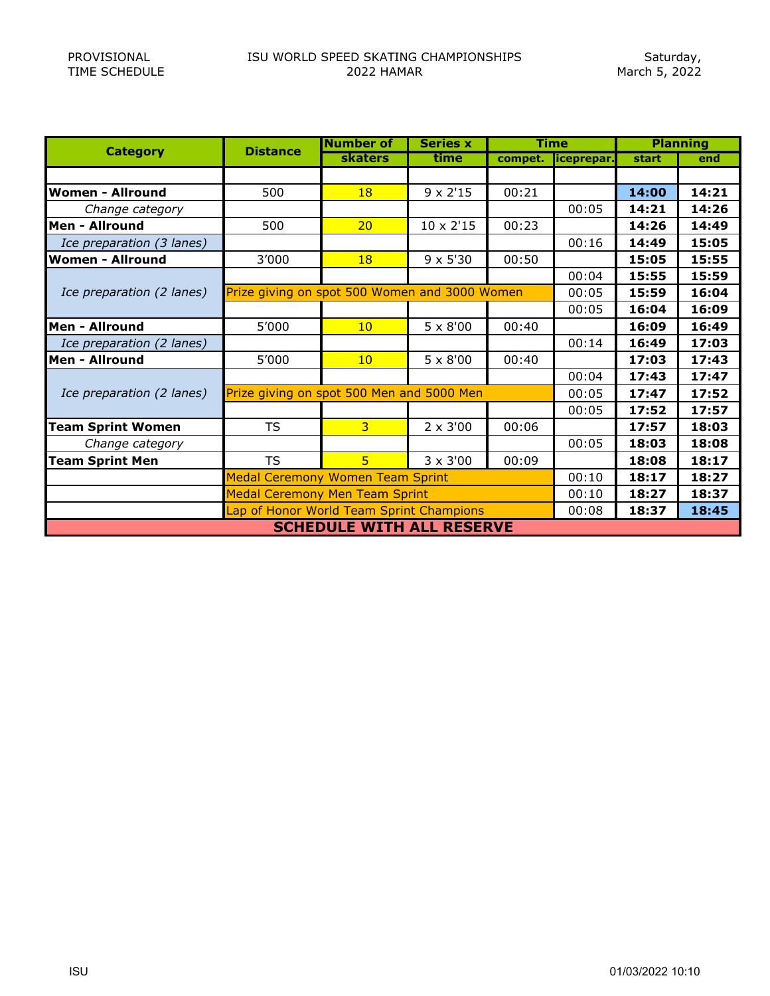|                                          | <b>Distance</b>                               | Number of<br><b>Series x</b> |                 | <b>Time</b> |            | <b>Planning</b> |       |  |
|------------------------------------------|-----------------------------------------------|------------------------------|-----------------|-------------|------------|-----------------|-------|--|
| <b>Category</b>                          |                                               | <b>skaters</b>               | time            | compet.     | iceprepar. | start           | end   |  |
|                                          |                                               |                              |                 |             |            |                 |       |  |
| <b>Women - Allround</b>                  | 500                                           | 18                           | $9 \times 2'15$ | 00:21       |            | 14:00           | 14:21 |  |
| Change category                          |                                               |                              |                 |             | 00:05      | 14:21           | 14:26 |  |
| Men - Allround                           | 500                                           | 20                           | 10 x 2'15       | 00:23       |            | 14:26           | 14:49 |  |
| Ice preparation (3 lanes)                |                                               |                              |                 |             | 00:16      | 14:49           | 15:05 |  |
| <b>Women - Allround</b>                  | 3'000                                         | 18                           | $9 \times 5'30$ | 00:50       |            | 15:05           | 15:55 |  |
|                                          |                                               |                              |                 |             | 00:04      | 15:55           | 15:59 |  |
| Ice preparation (2 lanes)                | Prize giving on spot 500 Women and 3000 Women | 00:05                        | 15:59           | 16:04       |            |                 |       |  |
|                                          |                                               |                              |                 |             | 00:05      | 16:04           | 16:09 |  |
| Men - Allround                           | 5'000                                         | 10                           | $5 \times 8'00$ | 00:40       |            | 16:09           | 16:49 |  |
| Ice preparation (2 lanes)                |                                               |                              |                 |             | 00:14      | 16:49           | 17:03 |  |
| Men - Allround                           | 5'000                                         | 10                           | $5 \times 8'00$ | 00:40       |            | 17:03           | 17:43 |  |
| Ice preparation (2 lanes)                |                                               |                              |                 |             | 00:04      | 17:43           | 17:47 |  |
|                                          | Prize giving on spot 500 Men and 5000 Men     |                              |                 |             | 00:05      | 17:47           | 17:52 |  |
|                                          |                                               |                              |                 |             | 00:05      | 17:52           | 17:57 |  |
| <b>Team Sprint Women</b>                 | <b>TS</b>                                     | 3                            | $2 \times 3'00$ | 00:06       |            | 17:57           | 18:03 |  |
| Change category                          |                                               |                              |                 |             | 00:05      | 18:03           | 18:08 |  |
| <b>Team Sprint Men</b>                   | <b>TS</b>                                     | 5 <sup>1</sup>               | $3 \times 3'00$ | 00:09       |            | 18:08           | 18:17 |  |
|                                          | <b>Medal Ceremony Women Team Sprint</b>       |                              |                 |             | 00:10      | 18:17           | 18:27 |  |
|                                          | <b>Medal Ceremony Men Team Sprint</b>         |                              |                 |             | 00:10      | 18:27           | 18:37 |  |
| Lap of Honor World Team Sprint Champions |                                               |                              |                 |             | 00:08      | 18:37           | 18:45 |  |
|                                          | <b>SCHEDULE WITH ALL RESERVE</b>              |                              |                 |             |            |                 |       |  |